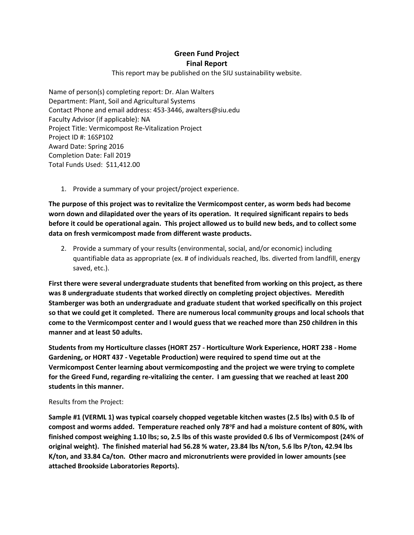## **Green Fund Project Final Report**

This report may be published on the SIU sustainability website.

Name of person(s) completing report: Dr. Alan Walters Department: Plant, Soil and Agricultural Systems Contact Phone and email address: 453-3446, awalters@siu.edu Faculty Advisor (if applicable): NA Project Title: Vermicompost Re-Vitalization Project Project ID #: 16SP102 Award Date: Spring 2016 Completion Date: Fall 2019 Total Funds Used: \$11,412.00

1. Provide a summary of your project/project experience.

**The purpose of this project was to revitalize the Vermicompost center, as worm beds had become worn down and dilapidated over the years of its operation. It required significant repairs to beds before it could be operational again. This project allowed us to build new beds, and to collect some data on fresh vermicompost made from different waste products.**

2. Provide a summary of your results (environmental, social, and/or economic) including quantifiable data as appropriate (ex. # of individuals reached, lbs. diverted from landfill, energy saved, etc.).

**First there were several undergraduate students that benefited from working on this project, as there was 8 undergraduate students that worked directly on completing project objectives. Meredith Stamberger was both an undergraduate and graduate student that worked specifically on this project so that we could get it completed. There are numerous local community groups and local schools that come to the Vermicompost center and I would guess that we reached more than 250 children in this manner and at least 50 adults.** 

**Students from my Horticulture classes (HORT 257 - Horticulture Work Experience, HORT 238 - Home Gardening, or HORT 437 - Vegetable Production) were required to spend time out at the Vermicompost Center learning about vermicomposting and the project we were trying to complete for the Greed Fund, regarding re-vitalizing the center. I am guessing that we reached at least 200 students in this manner.**

## Results from the Project:

**Sample #1 (VERML 1) was typical coarsely chopped vegetable kitchen wastes (2.5 lbs) with 0.5 lb of compost and worms added. Temperature reached only 78<sup>o</sup> F and had a moisture content of 80%, with finished compost weighing 1.10 lbs; so, 2.5 lbs of this waste provided 0.6 lbs of Vermicompost (24% of original weight). The finished material had 56.28 % water, 23.84 lbs N/ton, 5.6 lbs P/ton, 42.94 lbs K/ton, and 33.84 Ca/ton. Other macro and micronutrients were provided in lower amounts (see attached Brookside Laboratories Reports).**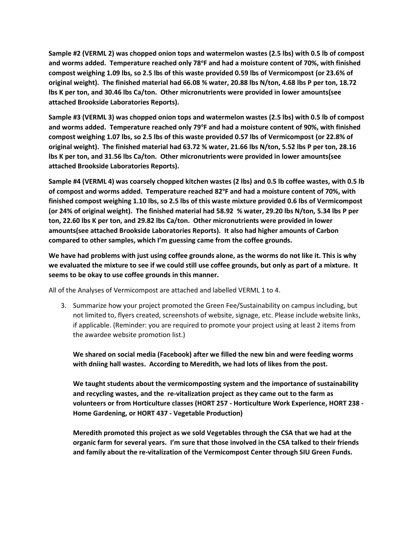**Sample #2 (VERML 2) was chopped onion tops and watermelon wastes (2.5 lbs) with 0.5 lb of compost and worms added. Temperature reached only 78<sup>o</sup> F and had a moisture content of 70%, with finished compost weighing 1.09 lbs, so 2.5 lbs of this waste provided 0.59 lbs of Vermicompost (or 23.6% of original weight). The finished material had 66.08 % water, 20.88 lbs N/ton, 4.68 lbs P per ton, 18.72 lbs K per ton, and 30.46 lbs Ca/ton. Other micronutrients were provided in lower amounts(see attached Brookside Laboratories Reports).** 

**Sample #3 (VERML 3) was chopped onion tops and watermelon wastes (2.5 lbs) with 0.5 lb of compost**  and worms added. Temperature reached only 79°F and had a moisture content of 90%, with finished **compost weighing 1.07 lbs, so 2.5 lbs of this waste provided 0.57 lbs of Vermicompost (or 22.8% of original weight). The finished material had 63.72 % water, 21.66 lbs N/ton, 5.52 lbs P per ton, 28.16 lbs K per ton, and 31.56 lbs Ca/ton. Other micronutrients were provided in lower amounts(see attached Brookside Laboratories Reports).** 

**Sample #4 (VERML 4) was coarsely chopped kitchen wastes (2 lbs) and 0.5 lb coffee wastes, with 0.5 lb of compost and worms added. Temperature reached 82<sup>o</sup> F and had a moisture content of 70%, with finished compost weighing 1.10 lbs, so 2.5 lbs of this waste mixture provided 0.6 lbs of Vermicompost (or 24% of original weight). The finished material had 58.92 % water, 29.20 lbs N/ton, 5.34 lbs P per ton, 22.60 lbs K per ton, and 29.82 lbs Ca/ton. Other micronutrients were provided in lower amounts(see attached Brookside Laboratories Reports). It also had higher amounts of Carbon compared to other samples, which I'm guessing came from the coffee grounds.**

**We have had problems with just using coffee grounds alone, as the worms do not like it. This is why we evaluated the mixture to see if we could still use coffee grounds, but only as part of a mixture. It seems to be okay to use coffee grounds in this manner.** 

All of the Analyses of Vermicompost are attached and labelled VERML 1 to 4.

3. Summarize how your project promoted the Green Fee/Sustainability on campus including, but not limited to, flyers created, screenshots of website, signage, etc. Please include website links, if applicable. (Reminder: you are required to promote your project using at least 2 items from the awardee website promotion list.)

**We shared on social media (Facebook) after we filled the new bin and were feeding worms with dniing hall wastes. According to Meredith, we had lots of likes from the post.** 

**We taught students about the vermicomposting system and the importance of sustainability and recycling wastes, and the re-vitalization project as they came out to the farm as volunteers or from Horticulture classes (HORT 257 - Horticulture Work Experience, HORT 238 - Home Gardening, or HORT 437 - Vegetable Production)**

**Meredith promoted this project as we sold Vegetables through the CSA that we had at the organic farm for several years. I'm sure that those involved in the CSA talked to their friends and family about the re-vitalization of the Vermicompost Center through SIU Green Funds.**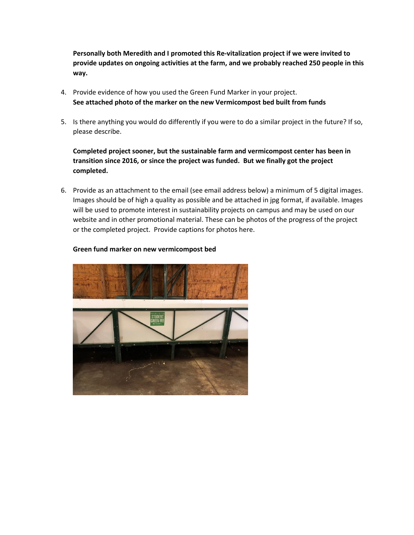**Personally both Meredith and I promoted this Re-vitalization project if we were invited to provide updates on ongoing activities at the farm, and we probably reached 250 people in this way.** 

- 4. Provide evidence of how you used the Green Fund Marker in your project. **See attached photo of the marker on the new Vermicompost bed built from funds**
- 5. Is there anything you would do differently if you were to do a similar project in the future? If so, please describe.

**Completed project sooner, but the sustainable farm and vermicompost center has been in transition since 2016, or since the project was funded. But we finally got the project completed.**

6. Provide as an attachment to the email (see email address below) a minimum of 5 digital images. Images should be of high a quality as possible and be attached in jpg format, if available. Images will be used to promote interest in sustainability projects on campus and may be used on our website and in other promotional material. These can be photos of the progress of the project or the completed project. Provide captions for photos here.



## **Green fund marker on new vermicompost bed**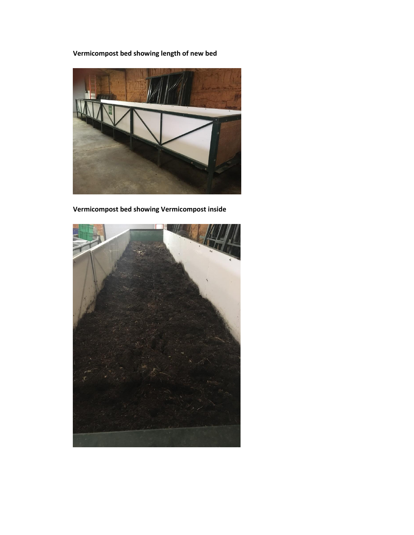**Vermicompost bed showing length of new bed**



**Vermicompost bed showing Vermicompost inside**

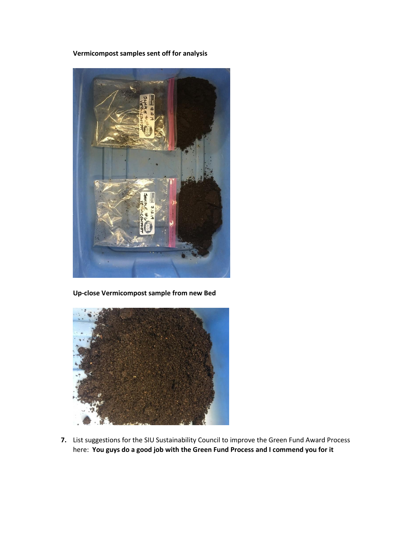**Vermicompost samples sent off for analysis**



**Up-close Vermicompost sample from new Bed**



**7.** List suggestions for the SIU Sustainability Council to improve the Green Fund Award Process here: **You guys do a good job with the Green Fund Process and I commend you for it**